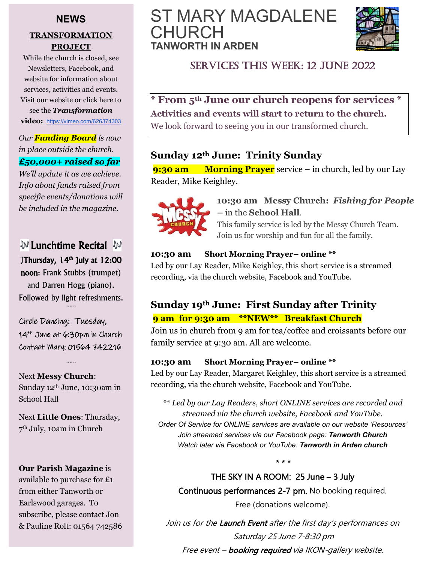### **NEWS**

#### **TRANSFORMATION PROJECT**

While the church is closed, see Newsletters, Facebook, and website for information about services, activities and events. Visit our website or click here to see the *Transformation* **video:** <https://vimeo.com/626374303>

*Our Funding Board is now in place outside the church. £50,000+ raised so far*

*We'll update it as we achieve. Info about funds raised from specific events/donations will be included in the magazine.*

### V Lunchtime Recital V JThursday, 14<sup>th</sup> July at 12:00

noon: Frank Stubbs (trumpet) and Darren Hogg (piano). Followed by light refreshments. *\*\* \*\* \*\**

Circle Dancing: Tuesday, 14th June at 6:30pm in Church Contact Mary: 01564 742216

*\*\* \*\* \*\**

Next **Messy Church**: Sunday 12<sup>th</sup> June, 10:30am in School Hall

Next **Little Ones**: Thursday, 7 th July, 10am in Church

**Our Parish Magazine** is available to purchase for £1 from either Tanworth or Earlswood garages. To subscribe, please contact Jon & Pauline Rolt: 01564 742586

## ST MARY MAGDALENE CHURCH **TANWORTH IN ARDEN**



### SERVICES THIS WEEK: 12 JUNE 2022

**\* From 5th June our church reopens for services \* Activities and events will start to return to the church.**

We look forward to seeing you in our transformed church.

### **Sunday 12th June: Trinity Sunday**

**9:30 am Morning Prayer** service – in church, led by our Lay Reader, Mike Keighley.



**10:30 am Messy Church:** *Fishing for People –* in the **School Hall**.

This family service is led by the Messy Church Team. Join us for worship and fun for all the family.

### **10:30 am Short Morning Prayer– online \*\***

Led by our Lay Reader, Mike Keighley, this short service is a streamed recording, via the church website, Facebook and YouTube.

### **Sunday 19th June: First Sunday after Trinity 9 am for 9:30 am \*\*NEW\*\* Breakfast Church**

Join us in church from 9 am for tea/coffee and croissants before our family service at 9:30 am. All are welcome.

#### **10:30 am Short Morning Prayer– online \*\***

Led by our Lay Reader, Margaret Keighley, this short service is a streamed recording, via the church website, Facebook and YouTube.

*\*\* Led by our Lay Readers, short ONLINE services are recorded and streamed via the church website, Facebook and YouTube. Order Of Service for ONLINE services are available on our website 'Resources' Join streamed services via our Facebook page: Tanworth Church Watch later via Facebook or YouTube: Tanworth in Arden church*

THE SKY IN A ROOM: 25 June – 3 July Continuous performances 2-7 pm. No booking required. Free (donations welcome).

*\* \* \**

Join us for the Launch Event after the first day's performances on Saturday 25 June 7-8:30 pm

Free event - booking required via IKON-gallery website.